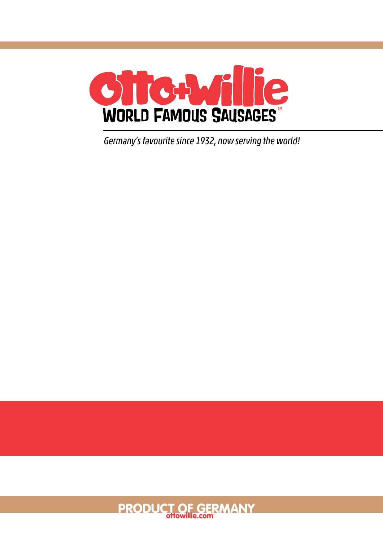

*Germany's favourite since 1932, now serving the world!*

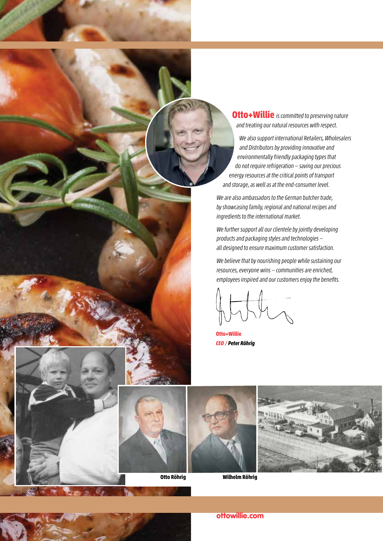**Otto+Willie** *is committed to preserving nature and treating our natural resources with respect.* 

 *We also support international Retailers, Wholesalers and Distributors by providing innovative and environmentally friendly packaging types that* do not require refrigeration — saving our precious  *energy resources at the critical points of transport and storage, as well as at the end-consumer level.*

*We are also ambassadors to the German butcher trade, by showcasing family, regional and national recipes and ingredients to the international market.*

*We further support all our clientele by jointly developing*  products and packaging styles and technologies *all designed to ensure maximum customer satisfaction.*

*We believe that by nourishing people while sustaining our*  resources, everyone wins — communities are enriched, employees inspired and our customers enjoy the benefits.

**Otto+Willie** *CEO / Peter Röhrig*





**Otto Röhrig Wilhelm Röhrig**

ottowillie.com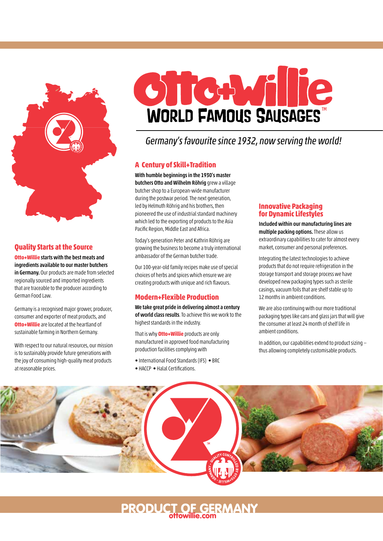

## **Quality Starts at the Source**

**Otto+Willie** starts with the best meats and ingredients available to our master butchers in Germany. Our products are made from selected regionally sourced and imported ingredients that are traceable to the producer according to German Food Law.

Germany is a recognised major grower, producer, consumer and exporter of meat products, and **Otto+Willie** are located at the heartland of sustainable farming in Northern Germany.

With respect to our natural resources, our mission is to sustainably provide future generations with the joy of consuming high-quality meat products at reasonable prices.



# *Germany's favourite since 1932, now serving the world!*

## **A Century of Skill+Tradition**

With humble beginnings in the 1930's master butchers Otto and Wilhelm Röhrig grew a village butcher shop to a European-wide manufacturer during the postwar period. The next generation, led by Helmuth Röhrig and his brothers, then pioneered the use of industrial standard machinery which led to the exporting of products to the Asia Pacific Region, Middle East and Africa.

Today's generation Peter and Kathrin Röhrig are growing the business to become a truly international ambassador of the German butcher trade.

Our 100-year-old family recipes make use of special choices of herbs and spices which ensure we are creating products with unique and rich flavours.

## **Modern+Flexible Production**

We take great pride in delivering almost a century of world class results. To achieve this we work to the highest standards in the industry.

That is why **Otto+Willie** products are only manufactured in approved food manufacturing production facilities complying with

- International Food Standards (IFS) BRC
- HACCP Halal Certifications.

### **Innovative Packaging for Dynamic Lifestyles**

Included within our manufacturing lines are multiple packing options. These allow us extraordinary capabilities to cater for almost every market, consumer and personal preferences.

Integrating the latest technologies to achieve products that do not require refrigeration in the storage transport and storage process we have developed new packaging types such as sterile casings, vacuum foils that are shelf stable up to 12 months in ambient conditions.

We are also continuing with our more traditional packaging types like cans and glass jars that will give the consumer at least 24 month of shelf life in ambient conditions.

In addition, our capabilities extend to product sizing thus allowing completely customisable products.



PRODUCT OF GERMANY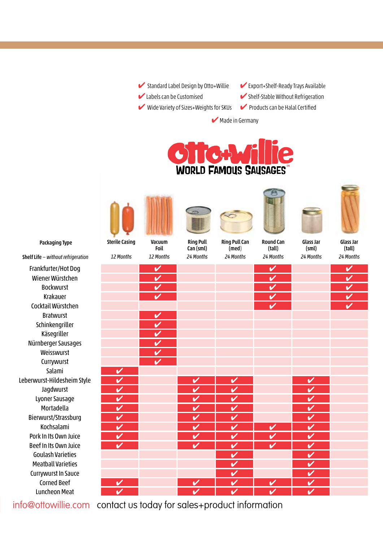✔ Standard Label Design by Otto+Willie ✔ Labels can be Customised

✔ Wide Variety of Sizes+Weights for SKUs

 $\blacktriangleright$  Export+Shelf-Ready Trays Available  $\blacktriangleright$  Shelf-Stable Without Refrigeration **►** Products can be Halal Certified



**◆ Made in Germany** 



Packaging Type

Ring Pull Can (sml)

Ring Pull Can (med)



(tall)





Glass Jar (sml)

Glass Jar (tall) *24 Months*

Shelf Life *— without refrigeration* Frankfurter/Hot Dog ✔ ✔ ✔ Wiener Würstchen ✔ ✔ ✔ Bockwurst ✔ ✔ ✔ Krakauer **Indiana de Later de Later de Later de Later de Later de Later de Later de Later de Later de Later de** Cocktail Würstchen **Bratwurst Schinkengriller Käsegriller** Nürnberger Sausages ✔ Weisswurst **Currywurst** Salami Leberwurst-Hildesheim Style Jagdwurst ✔ ✔ ✔ ✔ Lyoner Sausage *V* Mortadella **XXXIII VIII VIII VIII VIII VIII V** Bierwurst/Strassburg Kochsalami **/ / / / / / / /** / / Pork In Its Own Juice Beef In Its Own Juice ✔ ✔ ✔ ✔ ✔ Goulash Varieties **The Coulash Varieties And Coulash Varieties** Meatball Varieties **& Paris and Paris and Paris and Paris and Paris and Paris and Paris and Paris and Paris and** Currywurst In Sauce *N* Corned Beef *V* **V V V V V V V V** Luncheon Meat *24 Months 24 Months 24 Months 24 Months*

info@ottowillie.com contact us today for sales+product information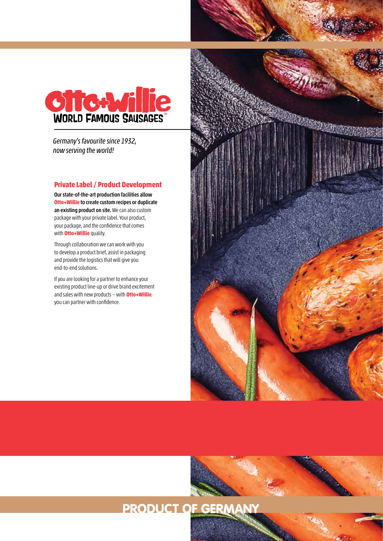

*Germany's favourite since 1932, now serving the world!*

### **Private Label / Product Development**

Our state-of-the-art production facilities allow **Otto+Willie** to create custom recipes or duplicate an existing product on site. We can also custom package with your private label. Your product, your package, and the confidence that comes with **Otto+Willie** quality.

Through collaboration we can work with you to develop a product brief, assist in packaging and provide the logistics that will give you end-to-end solutions.

If you are looking for a partner to enhance your existing product line-up or drive brand excitement and sales with new products — with **Otto+Willie** you can partner with confidence.

PRODUCT OF GERM